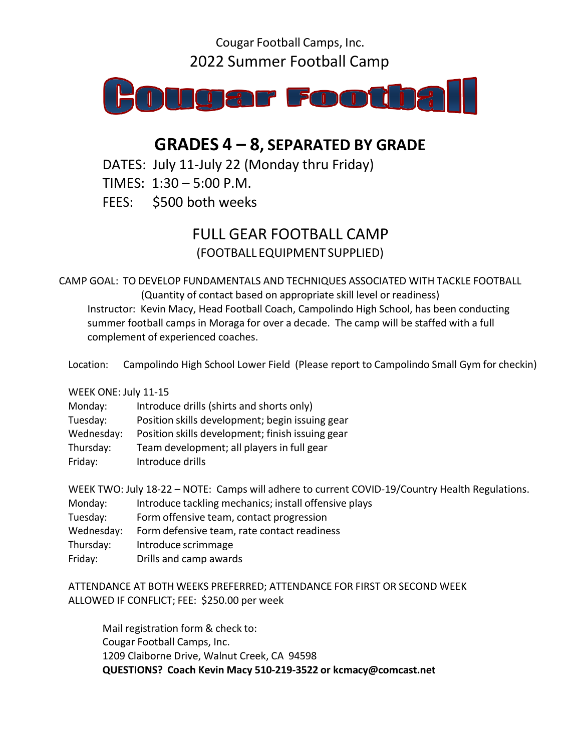Cougar Football Camps, Inc. 2022 Summer Football Camp



# **GRADES 4 – 8, SEPARATED BY GRADE**

DATES: July 11-July 22 (Monday thru Friday)

TIMES: 1:30 – 5:00 P.M.

FEES: \$500 both weeks

## FULL GEAR FOOTBALL CAMP (FOOTBALL EQUIPMENT SUPPLIED)

CAMP GOAL: TO DEVELOP FUNDAMENTALS AND TECHNIQUES ASSOCIATED WITH TACKLE FOOTBALL (Quantity of contact based on appropriate skill level or readiness) Instructor: Kevin Macy, Head Football Coach, Campolindo High School, has been conducting

summer football camps in Moraga for over a decade. The camp will be staffed with a full complement of experienced coaches.

Location: Campolindo High School Lower Field (Please report to Campolindo Small Gym for checkin)

#### WEEK ONE: July 11-15

| Monday:    | Introduce drills (shirts and shorts only)        |
|------------|--------------------------------------------------|
| Tuesday:   | Position skills development; begin issuing gear  |
| Wednesday: | Position skills development; finish issuing gear |
| Thursday:  | Team development; all players in full gear       |
| Friday:    | Introduce drills                                 |

WEEK TWO: July 18-22 – NOTE: Camps will adhere to current COVID-19/Country Health Regulations.

- Monday: Introduce tackling mechanics; install offensive plays
- Tuesday: Form offensive team, contact progression
- Wednesday: Form defensive team, rate contact readiness
- Thursday: Introduce scrimmage
- Friday: Drills and camp awards

#### ATTENDANCE AT BOTH WEEKS PREFERRED; ATTENDANCE FOR FIRST OR SECOND WEEK ALLOWED IF CONFLICT; FEE: \$250.00 per week

Mail registration form & check to: Cougar Football Camps, Inc. 1209 Claiborne Drive, Walnut Creek, CA 94598 **QUESTIONS? Coach Kevin Macy 510-219-3522 or [kcmacy@comcast.net](mailto:kcmacy@comcast.net)**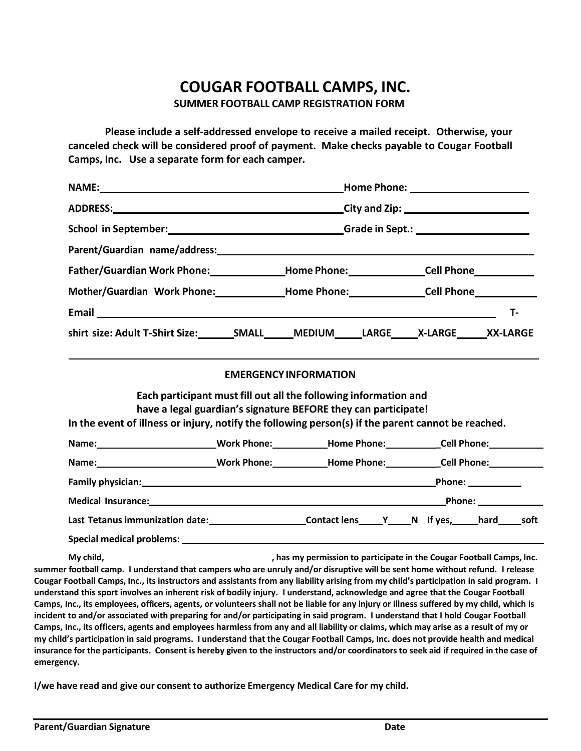### **COUGAR FOOTBALL CAMPS, INC. SUMMER FOOTBALL CAMP REGISTRATION FORM**

**Please include a self-addressed envelope to receive a mailed receipt. Otherwise, your canceled check will be considered proof of payment. Make checks payable to Cougar Football Camps, Inc. Use a separate form for each camper.**

| Father/Guardian Work Phone:___________________Home Phone:__________________Cell Phone______________                                                                                                                                                          |  |                                                                   |  |  |  |  |
|--------------------------------------------------------------------------------------------------------------------------------------------------------------------------------------------------------------------------------------------------------------|--|-------------------------------------------------------------------|--|--|--|--|
| Mother/Guardian Work Phone:_______________Home Phone:___________________Cell Phone_________________                                                                                                                                                          |  |                                                                   |  |  |  |  |
| Email T-                                                                                                                                                                                                                                                     |  |                                                                   |  |  |  |  |
| shirt size: Adult T-Shirt Size:_________SMALL_______MEDIUM______LARGE______X-LARGE_______XX-LARGE                                                                                                                                                            |  |                                                                   |  |  |  |  |
|                                                                                                                                                                                                                                                              |  |                                                                   |  |  |  |  |
|                                                                                                                                                                                                                                                              |  | <b>EMERGENCY INFORMATION</b>                                      |  |  |  |  |
| Each participant must fill out all the following information and                                                                                                                                                                                             |  |                                                                   |  |  |  |  |
| have a legal guardian's signature BEFORE they can participate!<br>In the event of illness or injury, notify the following person(s) if the parent cannot be reached.                                                                                         |  |                                                                   |  |  |  |  |
|                                                                                                                                                                                                                                                              |  | Name: Call Phone: Mork Phone: Call Phone: Cell Phone: Cell Phone: |  |  |  |  |
| Name: Call Phone: Name: Name: Name: Cell Phone: Cell Phone:                                                                                                                                                                                                  |  |                                                                   |  |  |  |  |
| Family physician: The Contract of the Contract of the Contract of the Contract of the Contract of the Contract of the Contract of the Contract of the Contract of the Contract of the Contract of the Contract of the Contract                               |  |                                                                   |  |  |  |  |
| Medical Insurance: Phone: Phone:                                                                                                                                                                                                                             |  |                                                                   |  |  |  |  |
|                                                                                                                                                                                                                                                              |  |                                                                   |  |  |  |  |
| Special medical problems: Latin and Contract and Contract and Contract and Contract and Contract and Contract and Contract and Contract and Contract and Contract and Contract and Contract and Contract and Contract and Cont                               |  |                                                                   |  |  |  |  |
| My child, My child, My child, My child, My child, My child, My child, My child, My child, My child, My child, My child Camps, Inc.<br>ar foothall camp. Lunderstand that campers who are unruly and/or disruptive will be sent home without refund. Lrelease |  |                                                                   |  |  |  |  |

summer football camp. I understand that campers who are unruly and/or disruptive will be sent home without refund. I release Cougar Football Camps, Inc., its instructors and assistants from any liability arising from my child's participation in said program. I understand this sport involves an inherent risk of bodily injury. I understand, acknowledge and agree that the Cougar Football Camps, Inc., its employees, officers, agents, or volunteers shall not be liable for any injury or illness suffered by my child, which is incident to and/or associated with preparing for and/or participating in said program. I understand that I hold Cougar Football Camps, Inc., its officers, agents and employees harmless from any and all liability or claims, which may arise as a result of my or my child's participation in said programs. I understand that the Cougar Football Camps, Inc. does not provide health and medical insurance for the participants. Consent is hereby given to the instructors and/or coordinators to seek aid if required in the case of **emergency.**

**I/we have read and give our consent to authorize Emergency Medical Care for my child.**